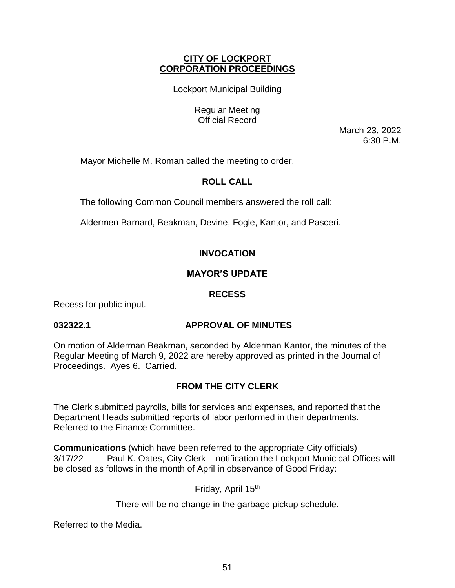## **CITY OF LOCKPORT CORPORATION PROCEEDINGS**

Lockport Municipal Building

Regular Meeting Official Record

> March 23, 2022 6:30 P.M.

Mayor Michelle M. Roman called the meeting to order.

# **ROLL CALL**

The following Common Council members answered the roll call:

Aldermen Barnard, Beakman, Devine, Fogle, Kantor, and Pasceri.

# **INVOCATION**

# **MAYOR'S UPDATE**

# **RECESS**

Recess for public input.

# **032322.1 APPROVAL OF MINUTES**

On motion of Alderman Beakman, seconded by Alderman Kantor, the minutes of the Regular Meeting of March 9, 2022 are hereby approved as printed in the Journal of Proceedings. Ayes 6. Carried.

# **FROM THE CITY CLERK**

The Clerk submitted payrolls, bills for services and expenses, and reported that the Department Heads submitted reports of labor performed in their departments. Referred to the Finance Committee.

**Communications** (which have been referred to the appropriate City officials) 3/17/22 Paul K. Oates, City Clerk – notification the Lockport Municipal Offices will be closed as follows in the month of April in observance of Good Friday:

Friday, April 15th

There will be no change in the garbage pickup schedule.

Referred to the Media.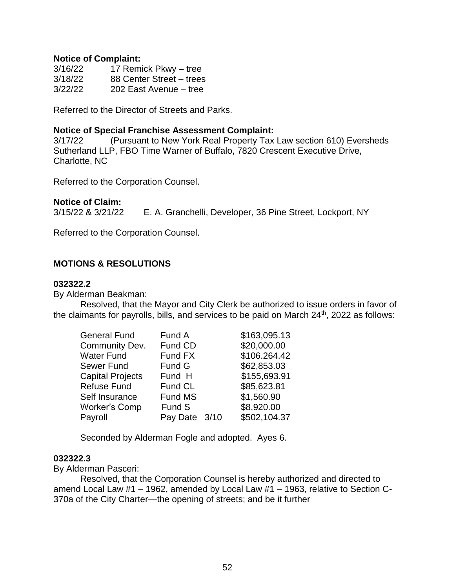#### **Notice of Complaint:**

| 3/16/22 | 17 Remick Pkwy - tree    |
|---------|--------------------------|
| 3/18/22 | 88 Center Street - trees |
| 3/22/22 | 202 East Avenue - tree   |

Referred to the Director of Streets and Parks.

#### **Notice of Special Franchise Assessment Complaint:**

3/17/22 (Pursuant to New York Real Property Tax Law section 610) Eversheds Sutherland LLP, FBO Time Warner of Buffalo, 7820 Crescent Executive Drive, Charlotte, NC

Referred to the Corporation Counsel.

### **Notice of Claim:**

3/15/22 & 3/21/22 E. A. Granchelli, Developer, 36 Pine Street, Lockport, NY

Referred to the Corporation Counsel.

## **MOTIONS & RESOLUTIONS**

#### **032322.2**

By Alderman Beakman:

Resolved, that the Mayor and City Clerk be authorized to issue orders in favor of the claimants for payrolls, bills, and services to be paid on March  $24<sup>th</sup>$ , 2022 as follows:

| <b>General Fund</b>     | Fund A        | \$163,095.13 |
|-------------------------|---------------|--------------|
| Community Dev.          | Fund CD       | \$20,000.00  |
| Water Fund              | Fund FX       | \$106.264.42 |
| Sewer Fund              | Fund G        | \$62,853.03  |
| <b>Capital Projects</b> | Fund H        | \$155,693.91 |
| Refuse Fund             | Fund CL       | \$85,623.81  |
| Self Insurance          | Fund MS       | \$1,560.90   |
| Worker's Comp           | Fund S        | \$8,920.00   |
| Payroll                 | Pay Date 3/10 | \$502,104.37 |

Seconded by Alderman Fogle and adopted. Ayes 6.

#### **032322.3**

By Alderman Pasceri:

Resolved, that the Corporation Counsel is hereby authorized and directed to amend Local Law #1 – 1962, amended by Local Law #1 – 1963, relative to Section C-370a of the City Charter—the opening of streets; and be it further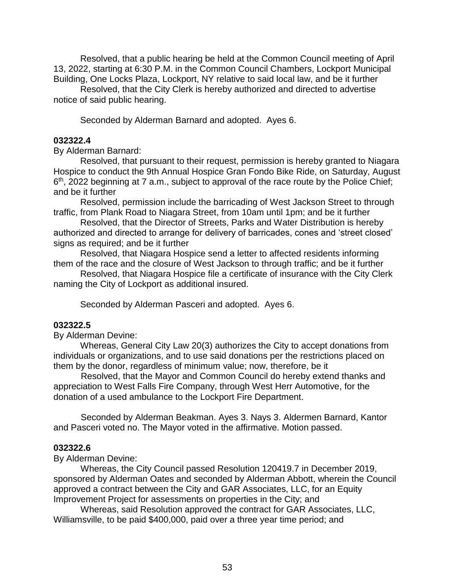Resolved, that a public hearing be held at the Common Council meeting of April 13, 2022, starting at 6:30 P.M. in the Common Council Chambers, Lockport Municipal Building, One Locks Plaza, Lockport, NY relative to said local law, and be it further

Resolved, that the City Clerk is hereby authorized and directed to advertise notice of said public hearing.

Seconded by Alderman Barnard and adopted. Ayes 6.

### **032322.4**

By Alderman Barnard:

Resolved, that pursuant to their request, permission is hereby granted to Niagara Hospice to conduct the 9th Annual Hospice Gran Fondo Bike Ride, on Saturday, August 6<sup>th</sup>, 2022 beginning at 7 a.m., subject to approval of the race route by the Police Chief; and be it further

Resolved, permission include the barricading of West Jackson Street to through traffic, from Plank Road to Niagara Street, from 10am until 1pm; and be it further

Resolved, that the Director of Streets, Parks and Water Distribution is hereby authorized and directed to arrange for delivery of barricades, cones and 'street closed' signs as required; and be it further

Resolved, that Niagara Hospice send a letter to affected residents informing them of the race and the closure of West Jackson to through traffic; and be it further

Resolved, that Niagara Hospice file a certificate of insurance with the City Clerk naming the City of Lockport as additional insured.

Seconded by Alderman Pasceri and adopted. Ayes 6.

## **032322.5**

By Alderman Devine:

Whereas, General City Law 20(3) authorizes the City to accept donations from individuals or organizations, and to use said donations per the restrictions placed on them by the donor, regardless of minimum value; now, therefore, be it

 Resolved, that the Mayor and Common Council do hereby extend thanks and appreciation to West Falls Fire Company, through West Herr Automotive, for the donation of a used ambulance to the Lockport Fire Department.

 Seconded by Alderman Beakman. Ayes 3. Nays 3. Aldermen Barnard, Kantor and Pasceri voted no. The Mayor voted in the affirmative. Motion passed.

#### **032322.6**

By Alderman Devine:

 Whereas, the City Council passed Resolution 120419.7 in December 2019, sponsored by Alderman Oates and seconded by Alderman Abbott, wherein the Council approved a contract between the City and GAR Associates, LLC, for an Equity Improvement Project for assessments on properties in the City; and

 Whereas, said Resolution approved the contract for GAR Associates, LLC, Williamsville, to be paid \$400,000, paid over a three year time period; and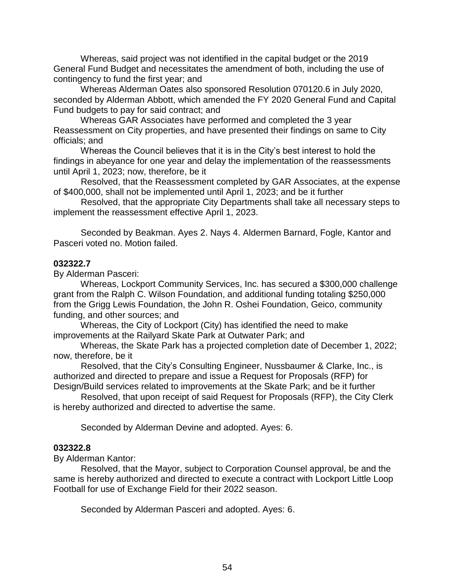Whereas, said project was not identified in the capital budget or the 2019 General Fund Budget and necessitates the amendment of both, including the use of contingency to fund the first year; and

 Whereas Alderman Oates also sponsored Resolution 070120.6 in July 2020, seconded by Alderman Abbott, which amended the FY 2020 General Fund and Capital Fund budgets to pay for said contract; and

 Whereas GAR Associates have performed and completed the 3 year Reassessment on City properties, and have presented their findings on same to City officials; and

 Whereas the Council believes that it is in the City's best interest to hold the findings in abeyance for one year and delay the implementation of the reassessments until April 1, 2023; now, therefore, be it

 Resolved, that the Reassessment completed by GAR Associates, at the expense of \$400,000, shall not be implemented until April 1, 2023; and be it further

 Resolved, that the appropriate City Departments shall take all necessary steps to implement the reassessment effective April 1, 2023.

 Seconded by Beakman. Ayes 2. Nays 4. Aldermen Barnard, Fogle, Kantor and Pasceri voted no. Motion failed.

### **032322.7**

By Alderman Pasceri:

 Whereas, Lockport Community Services, Inc. has secured a \$300,000 challenge grant from the Ralph C. Wilson Foundation, and additional funding totaling \$250,000 from the Grigg Lewis Foundation, the John R. Oshei Foundation, Geico, community funding, and other sources; and

 Whereas, the City of Lockport (City) has identified the need to make improvements at the Railyard Skate Park at Outwater Park; and

 Whereas, the Skate Park has a projected completion date of December 1, 2022; now, therefore, be it

 Resolved, that the City's Consulting Engineer, Nussbaumer & Clarke, Inc., is authorized and directed to prepare and issue a Request for Proposals (RFP) for Design/Build services related to improvements at the Skate Park; and be it further

 Resolved, that upon receipt of said Request for Proposals (RFP), the City Clerk is hereby authorized and directed to advertise the same.

Seconded by Alderman Devine and adopted. Ayes: 6.

#### **032322.8**

By Alderman Kantor:

 Resolved, that the Mayor, subject to Corporation Counsel approval, be and the same is hereby authorized and directed to execute a contract with Lockport Little Loop Football for use of Exchange Field for their 2022 season.

Seconded by Alderman Pasceri and adopted. Ayes: 6.